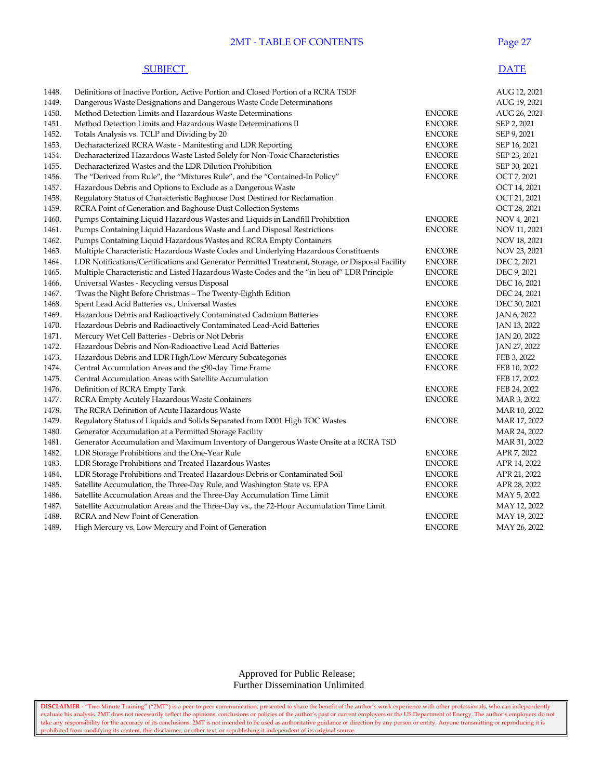#### 2MT - TABLE OF CONTENTS Page 27

#### **SUBJECT** DATE

| 1448. | Definitions of Inactive Portion, Active Portion and Closed Portion of a RCRA TSDF                 |               | AUG 12, 2021 |
|-------|---------------------------------------------------------------------------------------------------|---------------|--------------|
| 1449. | Dangerous Waste Designations and Dangerous Waste Code Determinations                              |               | AUG 19, 2021 |
| 1450. | Method Detection Limits and Hazardous Waste Determinations                                        | <b>ENCORE</b> | AUG 26, 2021 |
| 1451. | Method Detection Limits and Hazardous Waste Determinations II                                     | <b>ENCORE</b> | SEP 2, 2021  |
| 1452. | Totals Analysis vs. TCLP and Dividing by 20                                                       | <b>ENCORE</b> | SEP 9, 2021  |
| 1453. | Decharacterized RCRA Waste - Manifesting and LDR Reporting                                        | <b>ENCORE</b> | SEP 16, 2021 |
| 1454. | Decharacterized Hazardous Waste Listed Solely for Non-Toxic Characteristics                       | <b>ENCORE</b> | SEP 23, 2021 |
| 1455. | Decharacterized Wastes and the LDR Dilution Prohibition                                           | <b>ENCORE</b> | SEP 30, 2021 |
| 1456. | The "Derived from Rule", the "Mixtures Rule", and the "Contained-In Policy"                       | <b>ENCORE</b> | OCT 7, 2021  |
| 1457. | Hazardous Debris and Options to Exclude as a Dangerous Waste                                      |               | OCT 14, 2021 |
| 1458. | Regulatory Status of Characteristic Baghouse Dust Destined for Reclamation                        |               | OCT 21, 2021 |
| 1459. | RCRA Point of Generation and Baghouse Dust Collection Systems                                     |               | OCT 28, 2021 |
| 1460. | Pumps Containing Liquid Hazardous Wastes and Liquids in Landfill Prohibition                      | <b>ENCORE</b> | NOV 4, 2021  |
| 1461. | Pumps Containing Liquid Hazardous Waste and Land Disposal Restrictions                            | <b>ENCORE</b> | NOV 11, 2021 |
| 1462. | Pumps Containing Liquid Hazardous Wastes and RCRA Empty Containers                                |               | NOV 18, 2021 |
| 1463. | Multiple Characteristic Hazardous Waste Codes and Underlying Hazardous Constituents               | <b>ENCORE</b> | NOV 23, 2021 |
| 1464. | LDR Notifications/Certifications and Generator Permitted Treatment, Storage, or Disposal Facility | <b>ENCORE</b> | DEC 2, 2021  |
| 1465. | Multiple Characteristic and Listed Hazardous Waste Codes and the "in lieu of" LDR Principle       | <b>ENCORE</b> | DEC 9, 2021  |
| 1466. | Universal Wastes - Recycling versus Disposal                                                      | <b>ENCORE</b> | DEC 16, 2021 |
| 1467. | 'Twas the Night Before Christmas - The Twenty-Eighth Edition                                      |               | DEC 24, 2021 |
| 1468. | Spent Lead Acid Batteries vs., Universal Wastes                                                   | <b>ENCORE</b> | DEC 30, 2021 |
| 1469. | Hazardous Debris and Radioactively Contaminated Cadmium Batteries                                 | <b>ENCORE</b> | JAN 6, 2022  |
| 1470. | Hazardous Debris and Radioactively Contaminated Lead-Acid Batteries                               | <b>ENCORE</b> | JAN 13, 2022 |
| 1471. | Mercury Wet Cell Batteries - Debris or Not Debris                                                 | <b>ENCORE</b> | JAN 20, 2022 |
| 1472. | Hazardous Debris and Non-Radioactive Lead Acid Batteries                                          | <b>ENCORE</b> | JAN 27, 2022 |
| 1473. | Hazardous Debris and LDR High/Low Mercury Subcategories                                           | <b>ENCORE</b> | FEB 3, 2022  |
| 1474. | Central Accumulation Areas and the <90-day Time Frame                                             | <b>ENCORE</b> | FEB 10, 2022 |
| 1475. | Central Accumulation Areas with Satellite Accumulation                                            |               | FEB 17, 2022 |
| 1476. | Definition of RCRA Empty Tank                                                                     | <b>ENCORE</b> | FEB 24, 2022 |
| 1477. | RCRA Empty Acutely Hazardous Waste Containers                                                     | <b>ENCORE</b> | MAR 3, 2022  |
| 1478. | The RCRA Definition of Acute Hazardous Waste                                                      |               | MAR 10, 2022 |
| 1479. | Regulatory Status of Liquids and Solids Separated from D001 High TOC Wastes                       | <b>ENCORE</b> | MAR 17, 2022 |
| 1480. | Generator Accumulation at a Permitted Storage Facility                                            |               | MAR 24, 2022 |
| 1481. | Generator Accumulation and Maximum Inventory of Dangerous Waste Onsite at a RCRA TSD              |               | MAR 31, 2022 |
| 1482. | LDR Storage Prohibitions and the One-Year Rule                                                    | <b>ENCORE</b> | APR 7, 2022  |
| 1483. | LDR Storage Prohibitions and Treated Hazardous Wastes                                             | <b>ENCORE</b> | APR 14, 2022 |
| 1484. | LDR Storage Prohibitions and Treated Hazardous Debris or Contaminated Soil                        | <b>ENCORE</b> | APR 21, 2022 |
| 1485. | Satellite Accumulation, the Three-Day Rule, and Washington State vs. EPA                          | <b>ENCORE</b> | APR 28, 2022 |
| 1486. | Satellite Accumulation Areas and the Three-Day Accumulation Time Limit                            | <b>ENCORE</b> | MAY 5, 2022  |
| 1487. | Satellite Accumulation Areas and the Three-Day vs., the 72-Hour Accumulation Time Limit           |               | MAY 12, 2022 |
| 1488. | RCRA and New Point of Generation                                                                  | <b>ENCORE</b> | MAY 19, 2022 |
| 1489. | High Mercury vs. Low Mercury and Point of Generation                                              | <b>ENCORE</b> | MAY 26, 2022 |

 Approved for Public Release; Further Dissemination Unlimited

**DISCLAIMER** - "Two Minute Training" ("2MT") is a peer-to-peer communication, presented to share the benefit of the author's work experience with other professionals, who can independently evaluate his analysis. 2MT does not necessarily reflect the opinions, conclusions or policies of the author's past or current employers or the US Department of Energy. The author's employers do not take any responsibility for the accuracy of its conclusions. 2MT is not intended to be used as authoritative guidance or direction by any person or entity. Anyone transmitting or reproducing it is prohibited from modifying its content, this disclaimer, or other text, or republishing it independent of its original source.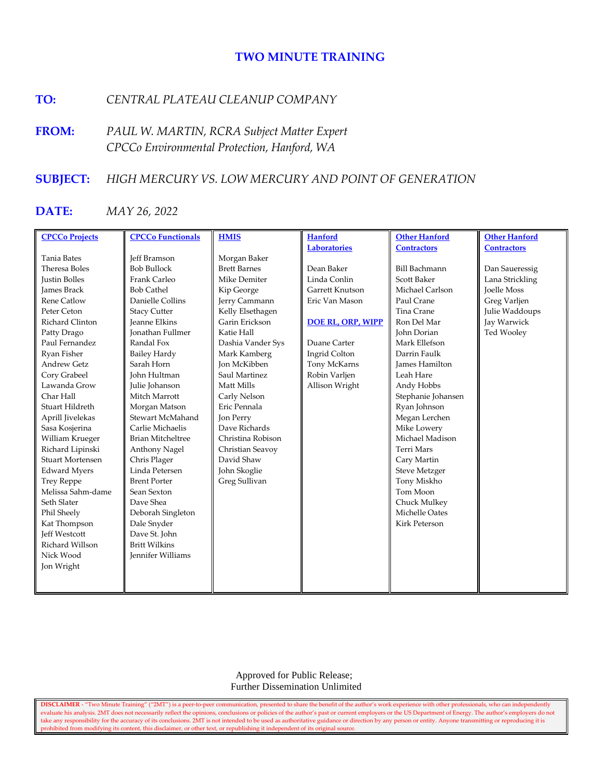# **TWO MINUTE TRAINING**

## **TO:** *CENTRAL PLATEAU CLEANUP COMPANY*

**FROM:** *PAUL W. MARTIN, RCRA Subject Matter Expert CPCCo Environmental Protection, Hanford, WA*

## **SUBJECT:** *HIGH MERCURY VS. LOW MERCURY AND POINT OF GENERATION*

## **DATE:** *MAY 26, 2022*

| <b>CPCCo Projects</b>   | <b>CPCCo Functionals</b> | <b>HMIS</b>         | <b>Hanford</b>           | <b>Other Hanford</b>  | <b>Other Hanford</b> |
|-------------------------|--------------------------|---------------------|--------------------------|-----------------------|----------------------|
|                         |                          |                     | <b>Laboratories</b>      | <b>Contractors</b>    | <b>Contractors</b>   |
| Tania Bates             | <b>Jeff Bramson</b>      | Morgan Baker        |                          |                       |                      |
| Theresa Boles           | <b>Bob Bullock</b>       | <b>Brett Barnes</b> | Dean Baker               | <b>Bill Bachmann</b>  | Dan Saueressig       |
| <b>Justin Bolles</b>    | Frank Carleo             | Mike Demiter        | Linda Conlin             | <b>Scott Baker</b>    | Lana Strickling      |
| <b>James Brack</b>      | <b>Bob Cathel</b>        | Kip George          | Garrett Knutson          | Michael Carlson       | <b>Joelle Moss</b>   |
| <b>Rene Catlow</b>      | Danielle Collins         | Jerry Cammann       | Eric Van Mason           | Paul Crane            | Greg Varljen         |
| Peter Ceton             | <b>Stacy Cutter</b>      | Kelly Elsethagen    |                          | Tina Crane            | Julie Waddoups       |
| Richard Clinton         | <b>Jeanne Elkins</b>     | Garin Erickson      | <b>DOE RL, ORP, WIPP</b> | Ron Del Mar           | Jay Warwick          |
| Patty Drago             | <b>Ionathan Fullmer</b>  | Katie Hall          |                          | John Dorian           | Ted Wooley           |
| Paul Fernandez          | Randal Fox               | Dashia Vander Sys   | Duane Carter             | Mark Ellefson         |                      |
| Ryan Fisher             | <b>Bailey Hardy</b>      | Mark Kamberg        | Ingrid Colton            | Darrin Faulk          |                      |
| <b>Andrew Getz</b>      | Sarah Horn               | <b>Ion McKibben</b> | Tony McKarns             | <b>James Hamilton</b> |                      |
| Cory Grabeel            | John Hultman             | Saul Martinez       | Robin Varljen            | Leah Hare             |                      |
| Lawanda Grow            | Julie Johanson           | Matt Mills          | Allison Wright           | Andy Hobbs            |                      |
| Char Hall               | Mitch Marrott            | Carly Nelson        |                          | Stephanie Johansen    |                      |
| Stuart Hildreth         | Morgan Matson            | Eric Pennala        |                          | Ryan Johnson          |                      |
| Aprill Jivelekas        | Stewart McMahand         | Jon Perry           |                          | Megan Lerchen         |                      |
| Sasa Kosjerina          | Carlie Michaelis         | Dave Richards       |                          | Mike Lowery           |                      |
| William Krueger         | <b>Brian Mitcheltree</b> | Christina Robison   |                          | Michael Madison       |                      |
| Richard Lipinski        | Anthony Nagel            | Christian Seavoy    |                          | Terri Mars            |                      |
| <b>Stuart Mortensen</b> | Chris Plager             | David Shaw          |                          | Cary Martin           |                      |
| <b>Edward Myers</b>     | Linda Petersen           | John Skoglie        |                          | <b>Steve Metzger</b>  |                      |
| <b>Trey Reppe</b>       | <b>Brent Porter</b>      | Greg Sullivan       |                          | Tony Miskho           |                      |
| Melissa Sahm-dame       | Sean Sexton              |                     |                          | Tom Moon              |                      |
| Seth Slater             | Dave Shea                |                     |                          | Chuck Mulkey          |                      |
| Phil Sheely             | Deborah Singleton        |                     |                          | Michelle Oates        |                      |
| Kat Thompson            | Dale Snyder              |                     |                          | <b>Kirk Peterson</b>  |                      |
| <b>Jeff Westcott</b>    | Dave St. John            |                     |                          |                       |                      |
| Richard Willson         | <b>Britt Wilkins</b>     |                     |                          |                       |                      |
| Nick Wood               | <b>Jennifer Williams</b> |                     |                          |                       |                      |
| Jon Wright              |                          |                     |                          |                       |                      |
|                         |                          |                     |                          |                       |                      |
|                         |                          |                     |                          |                       |                      |

 Approved for Public Release; Further Dissemination Unlimited

**DISCLAIMER** - "Two Minute Training" ("2MT") is a peer-to-peer communication, presented to share the benefit of the author's work experience with other professionals, who can independently evaluate his analysis. 2MT does not necessarily reflect the opinions, conclusions or policies of the author's past or current employers or the US Department of Energy. The author's employers do not take any responsibility for the accuracy of its conclusions. 2MT is not intended to be used as authoritative guidance or direction by any person or entity. Anyone transmitting or reproducing it is prohibited from modifying its content, this disclaimer, or other text, or republishing it independent of its original source.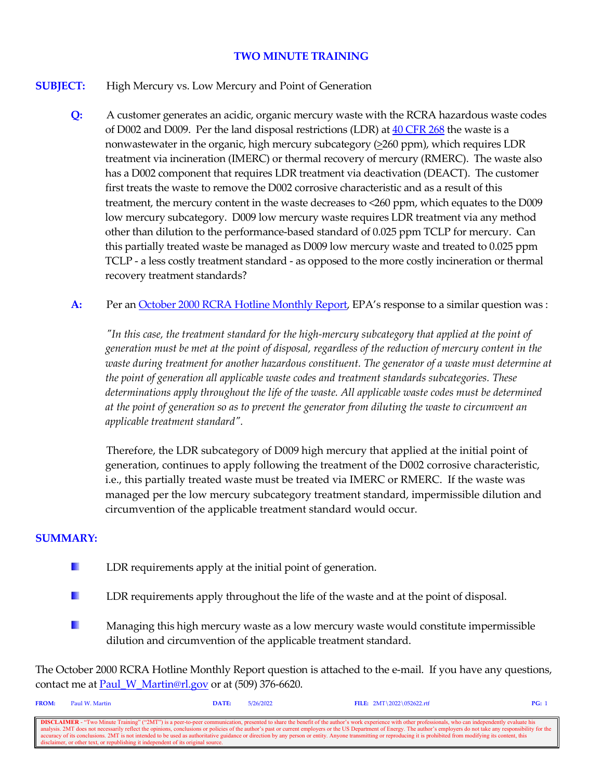## **TWO MINUTE TRAINING**

## **SUBJECT:** High Mercury vs. Low Mercury and Point of Generation

- **Q:** A customer generates an acidic, organic mercury waste with the RCRA hazardous waste codes of D002 and D009. Per the land disposal restrictions (LDR) at  $40$  CFR 268 the waste is a nonwastewater in the organic, high mercury subcategory  $(\geq 260 \text{ ppm})$ , which requires LDR treatment via incineration (IMERC) or thermal recovery of mercury (RMERC). The waste also has a D002 component that requires LDR treatment via deactivation (DEACT). The customer first treats the waste to remove the D002 corrosive characteristic and as a result of this treatment, the mercury content in the waste decreases to <260 ppm, which equates to the D009 low mercury subcategory. D009 low mercury waste requires LDR treatment via any method other than dilution to the performance-based standard of 0.025 ppm TCLP for mercury. Can this partially treated waste be managed as D009 low mercury waste and treated to 0.025 ppm TCLP - a less costly treatment standard - as opposed to the more costly incineration or thermal recovery treatment standards?
- A: Per an [October 2000 RCRA Hotline Monthly Report,](https://rcrapublic.epa.gov/rcraonline/details.xhtml?rcra=14513) EPA's response to a similar question was :

 *"In this case, the treatment standard for the high-mercury subcategory that applied at the point of generation must be met at the point of disposal, regardless of the reduction of mercury content in the waste during treatment for another hazardous constituent. The generator of a waste must determine at the point of generation all applicable waste codes and treatment standards subcategories. These determinations apply throughout the life of the waste. All applicable waste codes must be determined at the point of generation so as to prevent the generator from diluting the waste to circumvent an applicable treatment standard".*

 Therefore, the LDR subcategory of D009 high mercury that applied at the initial point of generation, continues to apply following the treatment of the D002 corrosive characteristic, i.e., this partially treated waste must be treated via IMERC or RMERC. If the waste was managed per the low mercury subcategory treatment standard, impermissible dilution and circumvention of the applicable treatment standard would occur.

### **SUMMARY:**

- a. LDR requirements apply at the initial point of generation.
- H. LDR requirements apply throughout the life of the waste and at the point of disposal.
- u. Managing this high mercury waste as a low mercury waste would constitute impermissible dilution and circumvention of the applicable treatment standard.

The October 2000 RCRA Hotline Monthly Report question is attached to the e-mail. If you have any questions, contact me at [Paul\\_W\\_Martin@rl.gov](mailto:Paul_W_Martin@rl.gov?subject=Two%20Minute%20Training%20Question) or at (509) 376-6620.

| <b>FROM:</b>                                                                                                                                                                                                             | Paul W. Martin                                                                    | DATE: | 5/26/2022 | FILE: $2MT \ 2022 \ 052622.rtf$ | PG: |  |  |  |
|--------------------------------------------------------------------------------------------------------------------------------------------------------------------------------------------------------------------------|-----------------------------------------------------------------------------------|-------|-----------|---------------------------------|-----|--|--|--|
|                                                                                                                                                                                                                          |                                                                                   |       |           |                                 |     |  |  |  |
| <b>DISCLAIMER</b> - "Two Minute Training" ("2MT") is a peer-to-peer communication, presented to share the benefit of the author's work experience with other professionals, who can independently evaluate his           |                                                                                   |       |           |                                 |     |  |  |  |
| analysis. 2MT does not necessarily reflect the opinions, conclusions or policies of the author's past or current employers or the US Department of Energy. The author's employers do not take any responsibility for the |                                                                                   |       |           |                                 |     |  |  |  |
| cecuracy of its conclusions. 2MT is not intended to be used as authoritative guidance or direction by any person or entity. Anyone transmitting or reproducing it is prohibited from modifying its content, this         |                                                                                   |       |           |                                 |     |  |  |  |
|                                                                                                                                                                                                                          | disclaimer, or other text, or republishing it independent of its original source. |       |           |                                 |     |  |  |  |